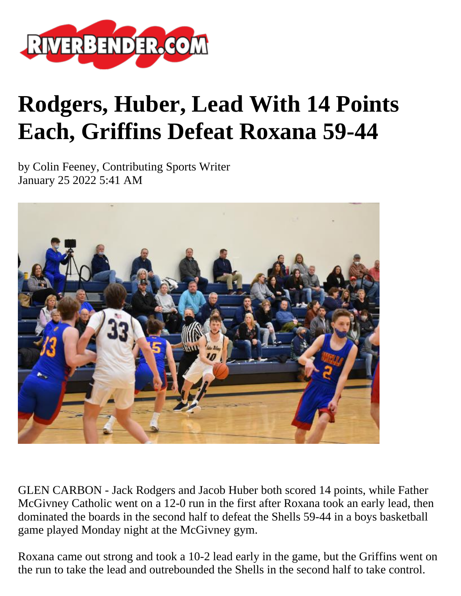

## **Rodgers, Huber, Lead With 14 Points Each, Griffins Defeat Roxana 59-44**

by Colin Feeney, Contributing Sports Writer January 25 2022 5:41 AM



GLEN CARBON - Jack Rodgers and Jacob Huber both scored 14 points, while Father McGivney Catholic went on a 12-0 run in the first after Roxana took an early lead, then dominated the boards in the second half to defeat the Shells 59-44 in a boys basketball game played Monday night at the McGivney gym.

Roxana came out strong and took a 10-2 lead early in the game, but the Griffins went on the run to take the lead and outrebounded the Shells in the second half to take control.